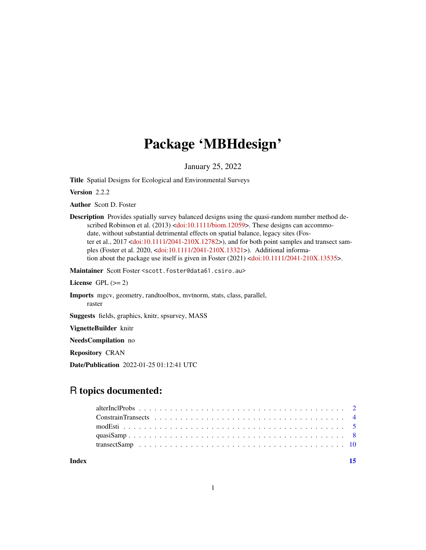## Package 'MBHdesign'

January 25, 2022

Title Spatial Designs for Ecological and Environmental Surveys

Version 2.2.2

Author Scott D. Foster

Description Provides spatially survey balanced designs using the quasi-random number method de-scribed Robinson et al. (2013) [<doi:10.1111/biom.12059>](https://doi.org/10.1111/biom.12059). These designs can accommodate, without substantial detrimental effects on spatial balance, legacy sites (Foster et al., 2017 [<doi:10.1111/2041-210X.12782>](https://doi.org/10.1111/2041-210X.12782)), and for both point samples and transect samples (Foster et al. 2020, [<doi:10.1111/2041-210X.13321>](https://doi.org/10.1111/2041-210X.13321)). Additional informa-tion about the package use itself is given in Foster (2021) [<doi:10.1111/2041-210X.13535>](https://doi.org/10.1111/2041-210X.13535).

Maintainer Scott Foster <scott.foster@data61.csiro.au>

License GPL  $(>= 2)$ 

Imports mgcv, geometry, randtoolbox, mvtnorm, stats, class, parallel, raster

Suggests fields, graphics, knitr, spsurvey, MASS

VignetteBuilder knitr

NeedsCompilation no

Repository CRAN

Date/Publication 2022-01-25 01:12:41 UTC

### R topics documented:

| Index |  |
|-------|--|
|       |  |
|       |  |
|       |  |
|       |  |
|       |  |

1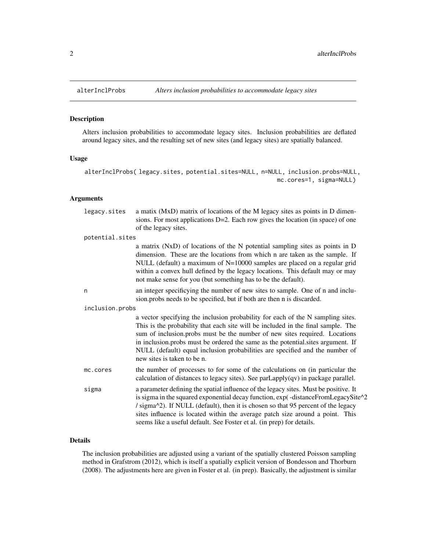<span id="page-1-1"></span><span id="page-1-0"></span>

#### Description

Alters inclusion probabilities to accommodate legacy sites. Inclusion probabilities are deflated around legacy sites, and the resulting set of new sites (and legacy sites) are spatially balanced.

#### Usage

```
alterInclProbs( legacy.sites, potential.sites=NULL, n=NULL, inclusion.probs=NULL,
                                                         mc.cores=1, sigma=NULL)
```
#### Arguments

| legacy.sites    | a matix (MxD) matrix of locations of the M legacy sites as points in D dimen-<br>sions. For most applications $D=2$ . Each row gives the location (in space) of one<br>of the legacy sites.                                                                                                                                                                                                                                                         |
|-----------------|-----------------------------------------------------------------------------------------------------------------------------------------------------------------------------------------------------------------------------------------------------------------------------------------------------------------------------------------------------------------------------------------------------------------------------------------------------|
| potential.sites |                                                                                                                                                                                                                                                                                                                                                                                                                                                     |
|                 | a matrix (NxD) of locations of the N potential sampling sites as points in D<br>dimension. These are the locations from which n are taken as the sample. If<br>NULL (default) a maximum of N=10000 samples are placed on a regular grid<br>within a convex hull defined by the legacy locations. This default may or may<br>not make sense for you (but something has to be the default).                                                           |
| n               | an integer specificying the number of new sites to sample. One of n and inclu-<br>sion.probs needs to be specified, but if both are then n is discarded.                                                                                                                                                                                                                                                                                            |
| inclusion.probs |                                                                                                                                                                                                                                                                                                                                                                                                                                                     |
|                 | a vector specifying the inclusion probability for each of the N sampling sites.<br>This is the probability that each site will be included in the final sample. The<br>sum of inclusion.probs must be the number of new sites required. Locations<br>in inclusion probs must be ordered the same as the potential sites argument. If<br>NULL (default) equal inclusion probabilities are specified and the number of<br>new sites is taken to be n. |
| mc.cores        | the number of processes to for some of the calculations on (in particular the<br>calculation of distances to legacy sites). See $parLapply(qv)$ in package parallel.                                                                                                                                                                                                                                                                                |
| sigma           | a parameter defining the spatial influence of the legacy sites. Must be positive. It<br>is sigma in the squared exponential decay function, exp(-distanceFromLegacySite^2<br>/ sigma^2). If NULL (default), then it is chosen so that 95 percent of the legacy<br>sites influence is located within the average patch size around a point. This<br>seems like a useful default. See Foster et al. (in prep) for details.                            |

#### Details

The inclusion probabilities are adjusted using a variant of the spatially clustered Poisson sampling method in Grafstrom (2012), which is itself a spatially explicit version of Bondesson and Thorburn (2008). The adjustments here are given in Foster et al. (in prep). Basically, the adjustment is similar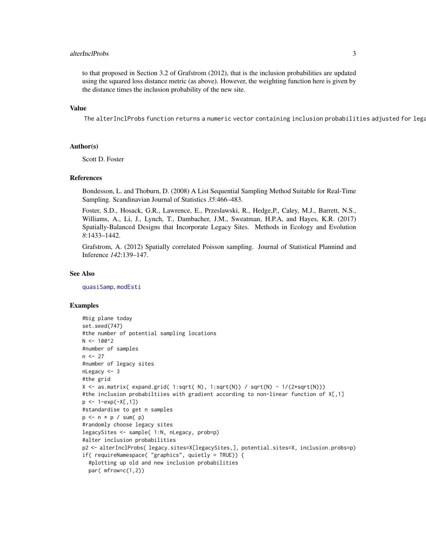#### <span id="page-2-0"></span>alterInclProbs 3

to that proposed in Section 3.2 of Grafstrom (2012), that is the inclusion probabilities are updated using the squared loss distance metric (as above). However, the weighting function here is given by the distance times the inclusion probability of the new site.

#### Value

The alterInclProbs function returns a numeric vector containing inclusion probabilities adjusted for lega

#### Author(s)

Scott D. Foster

#### References

Bondesson, L. and Thoburn, D. (2008) A List Sequential Sampling Method Suitable for Real-Time Sampling. Scandinavian Journal of Statistics *35*:466–483.

Foster, S.D., Hosack, G.R., Lawrence, E., Przeslawski, R., Hedge,P., Caley, M.J., Barrett, N.S., Williams, A., Li, J., Lynch, T., Dambacher, J.M., Sweatman, H.P.A, and Hayes, K.R. (2017) Spatially-Balanced Designs that Incorporate Legacy Sites. Methods in Ecology and Evolution *8*:1433–1442.

Grafstrom, A. (2012) Spatially correlated Poisson sampling. Journal of Statistical Plannind and Inference *142*:139–147.

#### See Also

[quasiSamp](#page-7-1), [modEsti](#page-4-1)

#### Examples

```
#big plane today
set.seed(747)
#the number of potential sampling locations
N < -100^2#number of samples
n < -27#number of legacy sites
nLegacy \leq -3#the grid
X \leftarrow as.matrix( expand.grid( 1:sqrt( N), 1:sqrt(N)) / sqrt(N) - 1/(2*sqrt(N)))
#the inclusion probabiltiies with gradient according to non-linear function of X[,1]
p \le -1 - exp(-X[, 1])#standardise to get n samples
p \le -n * p / sum(p)#randomly choose legacy sites
legacySites <- sample( 1:N, nLegacy, prob=p)
#alter inclusion probabilities
p2 <- alterInclProbs( legacy.sites=X[legacySites,], potential.sites=X, inclusion.probs=p)
if( requireNamespace( "graphics", quietly = TRUE)) {
 #plotting up old and new inclusion probabilities
 par( mfrow=c(1,2))
```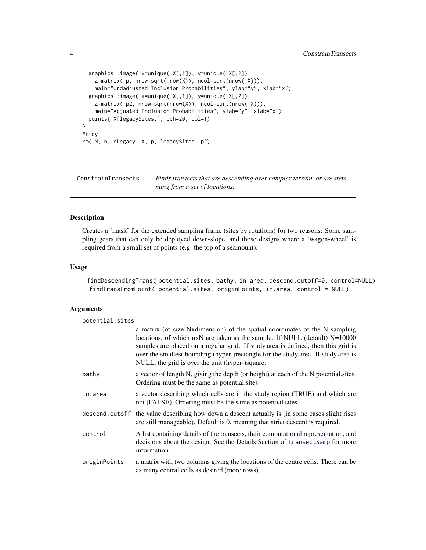```
graphics::image( x=unique( X[,1]), y=unique( X[,2]),
    z=matrix( p, nrow=sqrt(nrow(X)), ncol=sqrt(nrow( X))),
   main="Undadjusted Inclusion Probabilities", ylab="y", xlab="x")
 graphics::image( x=unique( X[,1]), y=unique( X[,2]),
   z=matrix( p2, nrow=sqrt(nrow(X)), ncol=sqrt(nrow( X))),
   main="Adjusted Inclusion Probabilities", ylab="y", xlab="x")
 points( X[legacySites,], pch=20, col=1)
}
#tidy
rm( N, n, nLegacy, X, p, legacySites, p2)
```
ConstrainTransects *Finds transects that are descending over complex terrain, or are stemming from a set of locations.*

#### <span id="page-3-1"></span>Description

Creates a 'mask' for the extended sampling frame (sites by rotations) for two reasons: Some sampling gears that can only be deployed down-slope, and those designs where a 'wagon-wheel' is required from a small set of points (e.g. the top of a seamount).

#### Usage

```
findDescendingTrans( potential.sites, bathy, in.area, descend.cutoff=0, control=NULL)
findTransFromPoint( potential.sites, originPoints, in.area, control = NULL)
```
#### Arguments

| potential.sites |                                                                                                                                                                                                                                                                                                                                                                                                |
|-----------------|------------------------------------------------------------------------------------------------------------------------------------------------------------------------------------------------------------------------------------------------------------------------------------------------------------------------------------------------------------------------------------------------|
|                 | a matrix (of size Nxdimension) of the spatial coordinates of the N sampling<br>locations, of which $n \ll N$ are taken as the sample. If NULL (default) $N=10000$<br>samples are placed on a regular grid. If study area is defined, then this grid is<br>over the smallest bounding (hyper-)rectangle for the study.area. If study.area is<br>NULL, the grid is over the unit (hyper-)square. |
| bathy           | a vector of length N, giving the depth (or height) at each of the N potential sites.<br>Ordering must be the same as potential sites.                                                                                                                                                                                                                                                          |
| in.area         | a vector describing which cells are in the study region (TRUE) and which are<br>not (FALSE). Ordering must be the same as potential sites.                                                                                                                                                                                                                                                     |
|                 | descend. cutoff the value describing how down a descent actually is (in some cases slight rises<br>are still manageable). Default is 0, meaning that strict descent is required.                                                                                                                                                                                                               |
| control         | A list containing details of the transects, their computational representation, and<br>decisions about the design. See the Details Section of transectSamp for more<br>information.                                                                                                                                                                                                            |
| originPoints    | a matrix with two columns giving the locations of the centre cells. There can be<br>as many central cells as desired (more rows).                                                                                                                                                                                                                                                              |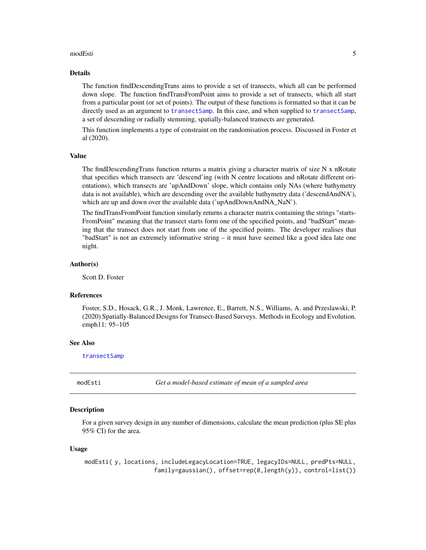#### <span id="page-4-0"></span>modEsti 5

#### Details

The function findDescendingTrans aims to provide a set of transects, which all can be performed down slope. The function findTransFromPoint aims to provide a set of transects, which all start from a particular point (or set of points). The output of these functions is formatted so that it can be directly used as an argument to [transectSamp](#page-9-1). In this case, and when supplied to [transectSamp](#page-9-1), a set of descending or radially stemming, spatially-balanced transects are generated.

This function implements a type of constraint on the randomisation process. Discussed in Foster et al (2020).

#### Value

The findDescendingTrans function returns a matrix giving a character matrix of size N x nRotate that specifies which transects are 'descend'ing (with N centre locations and nRotate different orientations), which transects are 'upAndDown' slope, which contains only NAs (where bathymetry data is not available), which are descending over the available bathymetry data ('descendAndNA'), which are up and down over the available data ('upAndDownAndNA\_NaN').

The findTransFromPoint function similarly returns a character matrix containing the strings "starts-FromPoint" meaning that the transect starts form one of the specified points, and "badStart" meaning that the transect does not start from one of the specified points. The developer realises that "badStart" is not an extremely informative string – it must have seemed like a good idea late one night.

#### Author(s)

Scott D. Foster

#### References

Foster, S.D., Hosack, G.R., J. Monk, Lawrence, E., Barrett, N.S., Williams, A. and Przeslawski, P. (2020) Spatially-Balanced Designs for Transect-Based Surveys. Methods in Ecology and Evolution. emph11: 95–105

#### See Also

[transectSamp](#page-9-1)

modEsti *Get a model-based estimate of mean of a sampled area*

#### **Description**

For a given survey design in any number of dimensions, calculate the mean prediction (plus SE plus 95% CI) for the area.

#### Usage

modEsti( y, locations, includeLegacyLocation=TRUE, legacyIDs=NULL, predPts=NULL, family=gaussian(), offset=rep(0,length(y)), control=list())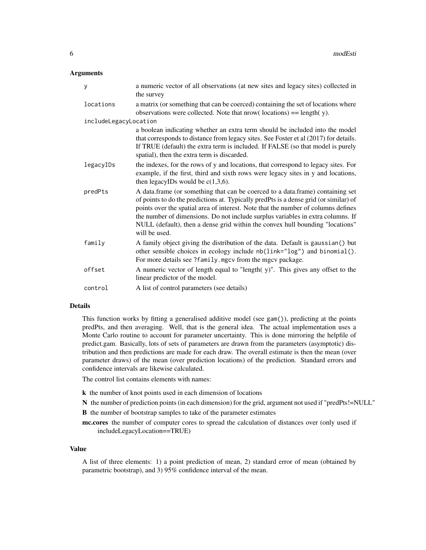#### **Arguments**

| У                     | a numeric vector of all observations (at new sites and legacy sites) collected in<br>the survey                                                                                                                                                                                                                                                                                                                                                   |
|-----------------------|---------------------------------------------------------------------------------------------------------------------------------------------------------------------------------------------------------------------------------------------------------------------------------------------------------------------------------------------------------------------------------------------------------------------------------------------------|
| locations             | a matrix (or something that can be coerced) containing the set of locations where<br>observations were collected. Note that nrow( $\alpha$ locations) = length( $\gamma$ ).                                                                                                                                                                                                                                                                       |
| includeLegacyLocation |                                                                                                                                                                                                                                                                                                                                                                                                                                                   |
|                       | a boolean indicating whether an extra term should be included into the model<br>that corresponds to distance from legacy sites. See Foster et al (2017) for details.<br>If TRUE (default) the extra term is included. If FALSE (so that model is purely<br>spatial), then the extra term is discarded.                                                                                                                                            |
| legacyIDs             | the indexes, for the rows of y and locations, that correspond to legacy sites. For<br>example, if the first, third and sixth rows were legacy sites in y and locations,<br>then legacyIDs would be $c(1,3,6)$ .                                                                                                                                                                                                                                   |
| predPts               | A data.frame (or something that can be coerced to a data.frame) containing set<br>of points to do the predictions at. Typically predPts is a dense grid (or similar) of<br>points over the spatial area of interest. Note that the number of columns defines<br>the number of dimensions. Do not include surplus variables in extra columns. If<br>NULL (default), then a dense grid within the convex hull bounding "locations"<br>will be used. |
| family                | A family object giving the distribution of the data. Default is gaussian() but<br>other sensible choices in ecology include nb(link="log") and binomial().<br>For more details see ?family.mgcv from the mgcv package.                                                                                                                                                                                                                            |
| offset                | A numeric vector of length equal to "length(y)". This gives any offset to the<br>linear predictor of the model.                                                                                                                                                                                                                                                                                                                                   |
| control               | A list of control parameters (see details)                                                                                                                                                                                                                                                                                                                                                                                                        |

#### Details

This function works by fitting a generalised additive model (see gam()), predicting at the points predPts, and then averaging. Well, that is the general idea. The actual implementation uses a Monte Carlo routine to account for parameter uncertainty. This is done mirroring the helpfile of predict.gam. Basically, lots of sets of parameters are drawn from the parameters (asymptotic) distribution and then predictions are made for each draw. The overall estimate is then the mean (over parameter draws) of the mean (over prediction locations) of the prediction. Standard errors and confidence intervals are likewise calculated.

The control list contains elements with names:

- k the number of knot points used in each dimension of locations
- N the number of prediction points (in each dimension) for the grid, argument not used if "predPts!=NULL"
- B the number of bootstrap samples to take of the parameter estimates

mc.cores the number of computer cores to spread the calculation of distances over (only used if includeLegacyLocation==TRUE)

#### Value

A list of three elements: 1) a point prediction of mean, 2) standard error of mean (obtained by parametric bootstrap), and 3) 95% confidence interval of the mean.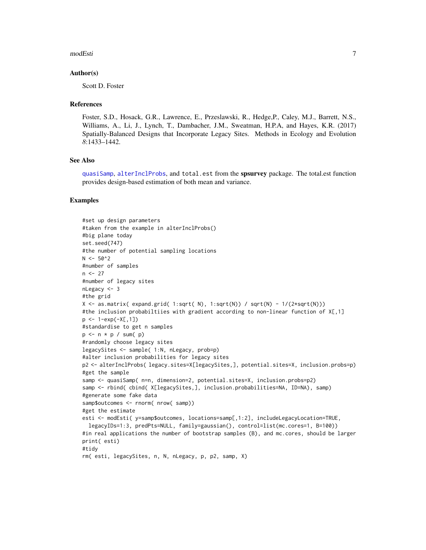#### <span id="page-6-0"></span>modEsti 7

#### Author(s)

Scott D. Foster

#### References

Foster, S.D., Hosack, G.R., Lawrence, E., Przeslawski, R., Hedge,P., Caley, M.J., Barrett, N.S., Williams, A., Li, J., Lynch, T., Dambacher, J.M., Sweatman, H.P.A, and Hayes, K.R. (2017) Spatially-Balanced Designs that Incorporate Legacy Sites. Methods in Ecology and Evolution *8*:1433–1442.

#### See Also

[quasiSamp](#page-7-1), [alterInclProbs](#page-1-1), and total.est from the spsurvey package. The total.est function provides design-based estimation of both mean and variance.

#### Examples

```
#set up design parameters
#taken from the example in alterInclProbs()
#big plane today
set.seed(747)
#the number of potential sampling locations
N < -50^02#number of samples
n < -27#number of legacy sites
nLegacy <- 3
#the grid
X \leftarrow as.matrix( expand.grid( 1:sqrt( N), 1:sqrt(N)) / sqrt(N) - 1/(2*sqrt(N)))
#the inclusion probabiltiies with gradient according to non-linear function of X[,1]
p \le -1 - exp(-X[, 1])#standardise to get n samples
p \le -n \times p / sum(p)#randomly choose legacy sites
legacySites <- sample( 1:N, nLegacy, prob=p)
#alter inclusion probabilities for legacy sites
p2 <- alterInclProbs( legacy.sites=X[legacySites,], potential.sites=X, inclusion.probs=p)
#get the sample
samp <- quasiSamp( n=n, dimension=2, potential.sites=X, inclusion.probs=p2)
samp <- rbind( cbind( X[legacySites,], inclusion.probabilities=NA, ID=NA), samp)
#generate some fake data
samp$outcomes <- rnorm( nrow( samp))
#get the estimate
esti <- modEsti( y=samp$outcomes, locations=samp[,1:2], includeLegacyLocation=TRUE,
  legacyIDs=1:3, predPts=NULL, family=gaussian(), control=list(mc.cores=1, B=100))
#in real applications the number of bootstrap samples (B), and mc.cores, should be larger
print( esti)
#tidy
rm( esti, legacySites, n, N, nLegacy, p, p2, samp, X)
```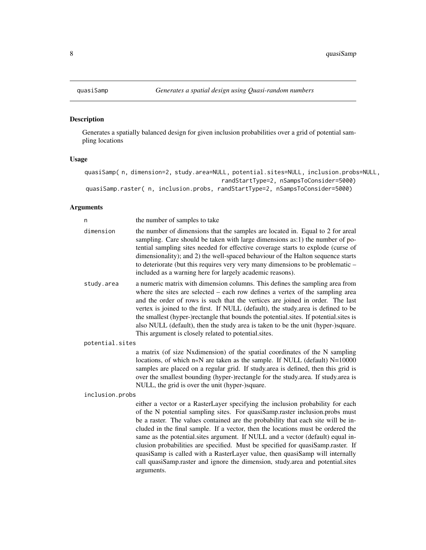#### Description

Generates a spatially balanced design for given inclusion probabilities over a grid of potential sampling locations

#### Usage

```
quasiSamp( n, dimension=2, study.area=NULL, potential.sites=NULL, inclusion.probs=NULL,
                                        randStartType=2, nSampsToConsider=5000)
quasiSamp.raster( n, inclusion.probs, randStartType=2, nSampsToConsider=5000)
```
#### Arguments

| n               | the number of samples to take                                                                                                                                                                                                                                                                                                                                                                                                                                                                                                                                              |
|-----------------|----------------------------------------------------------------------------------------------------------------------------------------------------------------------------------------------------------------------------------------------------------------------------------------------------------------------------------------------------------------------------------------------------------------------------------------------------------------------------------------------------------------------------------------------------------------------------|
| dimension       | the number of dimensions that the samples are located in. Equal to 2 for areal<br>sampling. Care should be taken with large dimensions as:1) the number of po-<br>tential sampling sites needed for effective coverage starts to explode (curse of<br>dimensionality); and 2) the well-spaced behaviour of the Halton sequence starts<br>to deteriorate (but this requires very very many dimensions to be problematic –<br>included as a warning here for largely academic reasons).                                                                                      |
| study.area      | a numeric matrix with dimension columns. This defines the sampling area from<br>where the sites are selected $-$ each row defines a vertex of the sampling area<br>and the order of rows is such that the vertices are joined in order. The last<br>vertex is joined to the first. If NULL (default), the study area is defined to be<br>the smallest (hyper-)rectangle that bounds the potential sites. If potential sites is<br>also NULL (default), then the study area is taken to be the unit (hyper-)square.<br>This argument is closely related to potential sites. |
| potential.sites |                                                                                                                                                                                                                                                                                                                                                                                                                                                                                                                                                                            |
|                 | a matrix (of size Nxdimension) of the spatial coordinates of the N sampling<br>locations, of which $n \times N$ are taken as the sample. If NULL (default) $N=10000$<br>samples are placed on a regular grid. If study area is defined, then this grid is<br>over the smallest bounding (hyper-)rectangle for the study.area. If study.area is<br>NULL, the grid is over the unit (hyper-)square.                                                                                                                                                                          |
| inclusion.probs |                                                                                                                                                                                                                                                                                                                                                                                                                                                                                                                                                                            |
|                 | either a vector or a RasterLayer specifying the inclusion probability for each<br>of the N potential sampling sites. For quasiSamp.raster inclusion.probs must<br>be a raster. The values contained are the probability that each site will be in-<br>$\mathbf{r} \cdot \mathbf{r} = \mathbf{r} \cdot \mathbf{r}$ , and the set of the set of the set of the set of the set of the set of the set of the set of the set of the set of the set of the set of the set of the set of the set of the set of the set                                                            |

cluded in the final sample. If a vector, then the locations must be ordered the same as the potential.sites argument. If NULL and a vector (default) equal inclusion probabilities are specified. Must be specified for quasiSamp.raster. If quasiSamp is called with a RasterLayer value, then quasiSamp will internally call quasiSamp.raster and ignore the dimension, study.area and potential.sites arguments.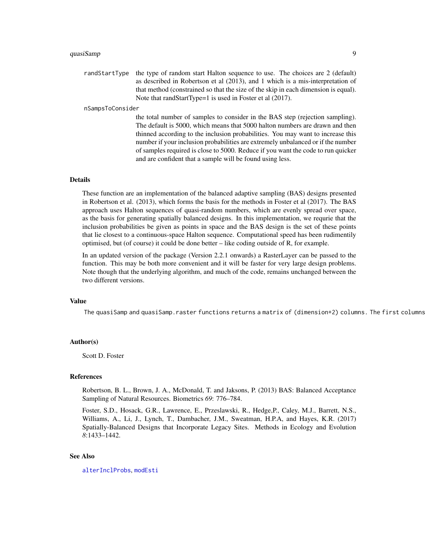#### <span id="page-8-0"></span>quasiSamp 99 and 2012 12:38 and 2012 12:38 and 2012 12:38 and 2012 12:38 and 2013 12:38 and 2013 12:38 and 201

randStartType the type of random start Halton sequence to use. The choices are 2 (default) as described in Robertson et al (2013), and 1 which is a mis-interpretation of that method (constrained so that the size of the skip in each dimension is equal). Note that randStartType=1 is used in Foster et al (2017).

#### nSampsToConsider

the total number of samples to consider in the BAS step (rejection sampling). The default is 5000, which means that 5000 halton numbers are drawn and then thinned according to the inclusion probabilities. You may want to increase this number if your inclusion probabilities are extremely unbalanced or if the number of samples required is close to 5000. Reduce if you want the code to run quicker and are confident that a sample will be found using less.

#### Details

These function are an implementation of the balanced adaptive sampling (BAS) designs presented in Robertson et al. (2013), which forms the basis for the methods in Foster et al (2017). The BAS approach uses Halton sequences of quasi-random numbers, which are evenly spread over space, as the basis for generating spatially balanced designs. In this implementation, we requrie that the inclusion probabilities be given as points in space and the BAS design is the set of these points that lie closest to a continuous-space Halton sequence. Computational speed has been rudimentily optimised, but (of course) it could be done better – like coding outside of R, for example.

In an updated version of the package (Version 2.2.1 onwards) a RasterLayer can be passed to the function. This may be both more convenient and it will be faster for very large design problems. Note though that the underlying algorithm, and much of the code, remains unchanged between the two different versions.

#### Value

The quasiSamp and quasiSamp.raster functions returns a matrix of (dimension+2) columns. The first columns

#### Author(s)

Scott D. Foster

#### **References**

Robertson, B. L., Brown, J. A., McDonald, T. and Jaksons, P. (2013) BAS: Balanced Acceptance Sampling of Natural Resources. Biometrics *69*: 776–784.

Foster, S.D., Hosack, G.R., Lawrence, E., Przeslawski, R., Hedge,P., Caley, M.J., Barrett, N.S., Williams, A., Li, J., Lynch, T., Dambacher, J.M., Sweatman, H.P.A, and Hayes, K.R. (2017) Spatially-Balanced Designs that Incorporate Legacy Sites. Methods in Ecology and Evolution *8*:1433–1442.

#### See Also

[alterInclProbs](#page-1-1), [modEsti](#page-4-1)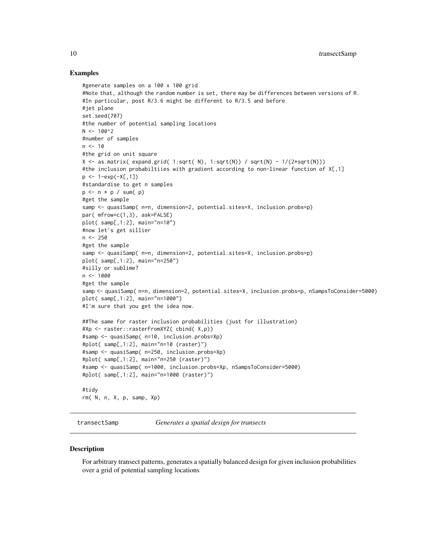#### Examples

```
#generate samples on a 100 x 100 grid
#Note that, although the random number is set, there may be differences between versions of R.
#In particular, post R/3.6 might be different to R/3.5 and before
#jet plane
set.seed(707)
#the number of potential sampling locations
N < -100^2#number of samples
n < -10#the grid on unit square
X \leq -as.matrix( expand.grid( 1:sqrt( N), 1:sqrt(N)) / sqrt(N) - 1/(2*sqrt(N)))
#the inclusion probabiltiies with gradient according to non-linear function of X[,1]
p \leftarrow 1 - exp(-X[, 1])#standardise to get n samples
p \le -n * p / sum(p)#get the sample
samp <- quasiSamp( n=n, dimension=2, potential.sites=X, inclusion.probs=p)
par( mfrow=c(1,3), ask=FALSE)
plot( samp[,1:2], main="n=10")
#now let's get sillier
n < -250#get the sample
samp <- quasiSamp( n=n, dimension=2, potential.sites=X, inclusion.probs=p)
plot( samp[,1:2], main="n=250")
#silly or sublime?
n < - 1000#get the sample
samp <- quasiSamp( n=n, dimension=2, potential.sites=X, inclusion.probs=p, nSampsToConsider=5000)
plot( samp[,1:2], main="n=1000")
#I'm sure that you get the idea now.
##The same for raster inclusion probabilities (just for illustration)
#Xp <- raster::rasterFromXYZ( cbind( X,p))
#samp <- quasiSamp( n=10, inclusion.probs=Xp)
#plot( samp[,1:2], main="n=10 (raster)")
#samp <- quasiSamp( n=250, inclusion.probs=Xp)
#plot( samp[,1:2], main="n=250 (raster)")
#samp <- quasiSamp( n=1000, inclusion.probs=Xp, nSampsToConsider=5000)
#plot( samp[,1:2], main="n=1000 (raster)")
#tidy
rm( N, n, X, p, samp, Xp)
```
<span id="page-9-1"></span>transectSamp *Generates a spatial design for transects*

#### **Description**

For arbitrary transect patterns, generates a spatially balanced design for given inclusion probabilities over a grid of potential sampling locations

<span id="page-9-0"></span>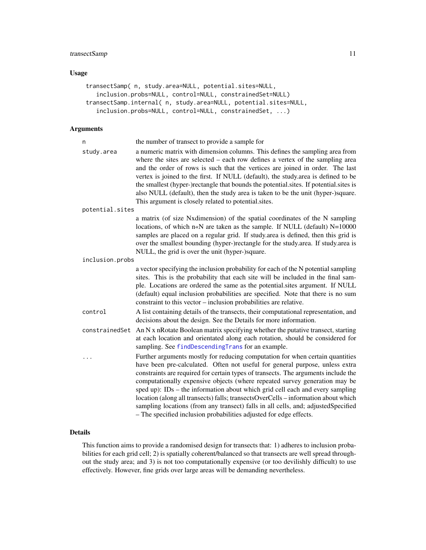#### <span id="page-10-0"></span>transectSamp 11

#### Usage

```
transectSamp( n, study.area=NULL, potential.sites=NULL,
   inclusion.probs=NULL, control=NULL, constrainedSet=NULL)
transectSamp.internal( n, study.area=NULL, potential.sites=NULL,
   inclusion.probs=NULL, control=NULL, constrainedSet, ...)
```
#### Arguments

| n               | the number of transect to provide a sample for                                                                                                                                                                                                                                                                                                                                                                                                                                                                                                                                                                                                                      |
|-----------------|---------------------------------------------------------------------------------------------------------------------------------------------------------------------------------------------------------------------------------------------------------------------------------------------------------------------------------------------------------------------------------------------------------------------------------------------------------------------------------------------------------------------------------------------------------------------------------------------------------------------------------------------------------------------|
| study.area      | a numeric matrix with dimension columns. This defines the sampling area from<br>where the sites are selected – each row defines a vertex of the sampling area<br>and the order of rows is such that the vertices are joined in order. The last<br>vertex is joined to the first. If NULL (default), the study area is defined to be<br>the smallest (hyper-)rectangle that bounds the potential sites. If potential sites is<br>also NULL (default), then the study area is taken to be the unit (hyper-)square.<br>This argument is closely related to potential sites.                                                                                            |
| potential.sites |                                                                                                                                                                                                                                                                                                                                                                                                                                                                                                                                                                                                                                                                     |
|                 | a matrix (of size Nxdimension) of the spatial coordinates of the N sampling<br>locations, of which n«N are taken as the sample. If NULL (default) N=10000<br>samples are placed on a regular grid. If study area is defined, then this grid is<br>over the smallest bounding (hyper-)rectangle for the study area. If study area is<br>NULL, the grid is over the unit (hyper-)square.                                                                                                                                                                                                                                                                              |
| inclusion.probs |                                                                                                                                                                                                                                                                                                                                                                                                                                                                                                                                                                                                                                                                     |
|                 | a vector specifying the inclusion probability for each of the N potential sampling<br>sites. This is the probability that each site will be included in the final sam-<br>ple. Locations are ordered the same as the potential sites argument. If NULL<br>(default) equal inclusion probabilities are specified. Note that there is no sum<br>constraint to this vector – inclusion probabilities are relative.                                                                                                                                                                                                                                                     |
| control         | A list containing details of the transects, their computational representation, and<br>decisions about the design. See the Details for more information.                                                                                                                                                                                                                                                                                                                                                                                                                                                                                                            |
| constrainedSet  | An N x nRotate Boolean matrix specifying whether the putative transect, starting<br>at each location and orientated along each rotation, should be considered for<br>sampling. See findDescendingTrans for an example.                                                                                                                                                                                                                                                                                                                                                                                                                                              |
| .               | Further arguments mostly for reducing computation for when certain quantities<br>have been pre-calculated. Often not useful for general purpose, unless extra<br>constraints are required for certain types of transects. The arguments include the<br>computationally expensive objects (where repeated survey generation may be<br>sped up): IDs – the information about which grid cell each and every sampling<br>location (along all transects) falls; transectsOverCells - information about which<br>sampling locations (from any transect) falls in all cells, and; adjustedSpecified<br>- The specified inclusion probabilities adjusted for edge effects. |

#### Details

This function aims to provide a randomised design for transects that: 1) adheres to inclusion probabilities for each grid cell; 2) is spatially coherent/balanced so that transects are well spread throughout the study area; and 3) is not too computationally expensive (or too devilishly difficult) to use effectively. However, fine grids over large areas will be demanding nevertheless.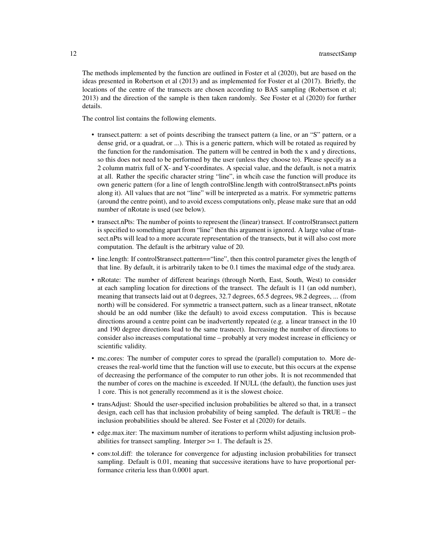The methods implemented by the function are outlined in Foster et al (2020), but are based on the ideas presented in Robertson et al (2013) and as implemented for Foster et al (2017). Briefly, the locations of the centre of the transects are chosen according to BAS sampling (Robertson et al; 2013) and the direction of the sample is then taken randomly. See Foster et al (2020) for further details.

The control list contains the following elements.

- transect.pattern: a set of points describing the transect pattern (a line, or an "S" pattern, or a dense grid, or a quadrat, or ...). This is a generic pattern, which will be rotated as required by the function for the randomisation. The pattern will be centred in both the x and y directions, so this does not need to be performed by the user (unless they choose to). Please specify as a 2 column matrix full of X- and Y-coordinates. A special value, and the default, is not a matrix at all. Rather the specific character string "line", in whcih case the function will produce its own generic pattern (for a line of length control\$line.length with control\$transect.nPts points along it). All values that are not "line" will be interpreted as a matrix. For symmetric patterns (around the centre point), and to avoid excess computations only, please make sure that an odd number of nRotate is used (see below).
- transect.nPts: The number of points to represent the (linear) transect. If control\$transect.pattern is specified to something apart from "line" then this argument is ignored. A large value of transect.nPts will lead to a more accurate representation of the transects, but it will also cost more computation. The default is the arbitrary value of 20.
- line.length: If control\$transect.pattern=="line", then this control parameter gives the length of that line. By default, it is arbitrarily taken to be 0.1 times the maximal edge of the study.area.
- nRotate: The number of different bearings (through North, East, South, West) to consider at each sampling location for directions of the transect. The default is 11 (an odd number), meaning that transects laid out at 0 degrees, 32.7 degrees, 65.5 degrees, 98.2 degrees, ... (from north) will be considered. For symmetric a transect.pattern, such as a linear transect, nRotate should be an odd number (like the default) to avoid excess computation. This is because directions around a centre point can be inadvertently repeated (e.g. a linear transect in the 10 and 190 degree directions lead to the same trasnect). Increasing the number of directions to consider also increases computational time – probably at very modest increase in efficiency or scientific validity.
- mc.cores: The number of computer cores to spread the (parallel) computation to. More decreases the real-world time that the function will use to execute, but this occurs at the expense of decreasing the performance of the computer to run other jobs. It is not recommended that the number of cores on the machine is exceeded. If NULL (the default), the function uses just 1 core. This is not generally recommend as it is the slowest choice.
- transAdjust: Should the user-specified inclusion probabilities be altered so that, in a transect design, each cell has that inclusion probability of being sampled. The default is TRUE – the inclusion probabilities should be altered. See Foster et al (2020) for details.
- edge.max.iter: The maximum number of iterations to perform whilst adjusting inclusion probabilities for transect sampling. Interger >= 1. The default is 25.
- conv.tol.diff: the tolerance for convergence for adjusting inclusion probabilities for transect sampling. Default is 0.01, meaning that successive iterations have to have proportional performance criteria less than 0.0001 apart.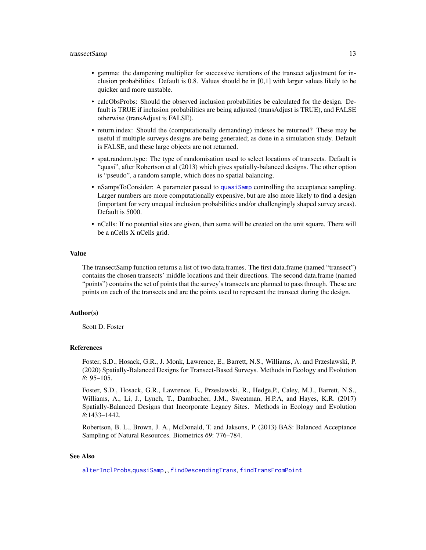- <span id="page-12-0"></span>• gamma: the dampening multiplier for successive iterations of the transect adjustment for inclusion probabilities. Default is 0.8. Values should be in [0,1] with larger values likely to be quicker and more unstable.
- calcObsProbs: Should the observed inclusion probabilities be calculated for the design. Default is TRUE if inclusion probabilities are being adjusted (transAdjust is TRUE), and FALSE otherwise (transAdjust is FALSE).
- return.index: Should the (computationally demanding) indexes be returned? These may be useful if multiple surveys designs are being generated; as done in a simulation study. Default is FALSE, and these large objects are not returned.
- spat.random.type: The type of randomisation used to select locations of transects. Default is "quasi", after Robertson et al (2013) which gives spatially-balanced designs. The other option is "pseudo", a random sample, which does no spatial balancing.
- nSampsToConsider: A parameter passed to [quasiSamp](#page-7-1) controlling the acceptance sampling. Larger numbers are more computationally expensive, but are also more likely to find a design (important for very unequal inclusion probabilities and/or challengingly shaped survey areas). Default is 5000.
- nCells: If no potential sites are given, then some will be created on the unit square. There will be a nCells X nCells grid.

#### Value

The transectSamp function returns a list of two data.frames. The first data.frame (named "transect") contains the chosen transects' middle locations and their directions. The second data.frame (named "points") contains the set of points that the survey's transects are planned to pass through. These are points on each of the transects and are the points used to represent the transect during the design.

#### Author(s)

Scott D. Foster

#### References

Foster, S.D., Hosack, G.R., J. Monk, Lawrence, E., Barrett, N.S., Williams, A. and Przeslawski, P. (2020) Spatially-Balanced Designs for Transect-Based Surveys. Methods in Ecology and Evolution *8*: 95–105.

Foster, S.D., Hosack, G.R., Lawrence, E., Przeslawski, R., Hedge,P., Caley, M.J., Barrett, N.S., Williams, A., Li, J., Lynch, T., Dambacher, J.M., Sweatman, H.P.A, and Hayes, K.R. (2017) Spatially-Balanced Designs that Incorporate Legacy Sites. Methods in Ecology and Evolution *8*:1433–1442.

Robertson, B. L., Brown, J. A., McDonald, T. and Jaksons, P. (2013) BAS: Balanced Acceptance Sampling of Natural Resources. Biometrics *69*: 776–784.

#### See Also

[alterInclProbs](#page-1-1),[quasiSamp,](#page-7-1), [findDescendingTrans](#page-3-1), [findTransFromPoint](#page-3-1)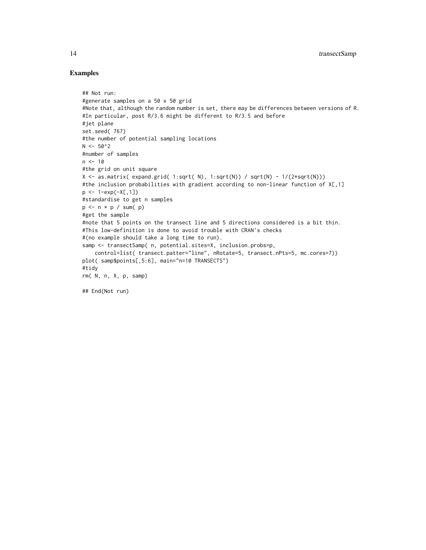#### Examples

```
## Not run:
#generate samples on a 50 x 50 grid
#Note that, although the random number is set, there may be differences between versions of R.
#In particular, post R/3.6 might be different to R/3.5 and before
#jet plane
set.seed( 767)
#the number of potential sampling locations
N < -50^2#number of samples
n < -10#the grid on unit square
X \leq -as.matrix( expand.grid( 1:sqrt( N), 1:sqrt(N)) / sqrt(N) - 1/(2*sqrt(N)))
#the inclusion probabilities with gradient according to non-linear function of X[,1]
p \leftarrow 1 - exp(-X[, 1])#standardise to get n samples
p \le -n * p / sum(p)#get the sample
#note that 5 points on the transect line and 5 directions considered is a bit thin.
#This low-definition is done to avoid trouble with CRAN's checks
#(no example should take a long time to run).
samp <- transectSamp( n, potential.sites=X, inclusion.probs=p,
    control=list( transect.patter="line", nRotate=5, transect.nPts=5, mc.cores=7))
plot( samp$points[,5:6], main="n=10 TRANSECTS")
#tidy
rm( N, n, X, p, samp)
## End(Not run)
```